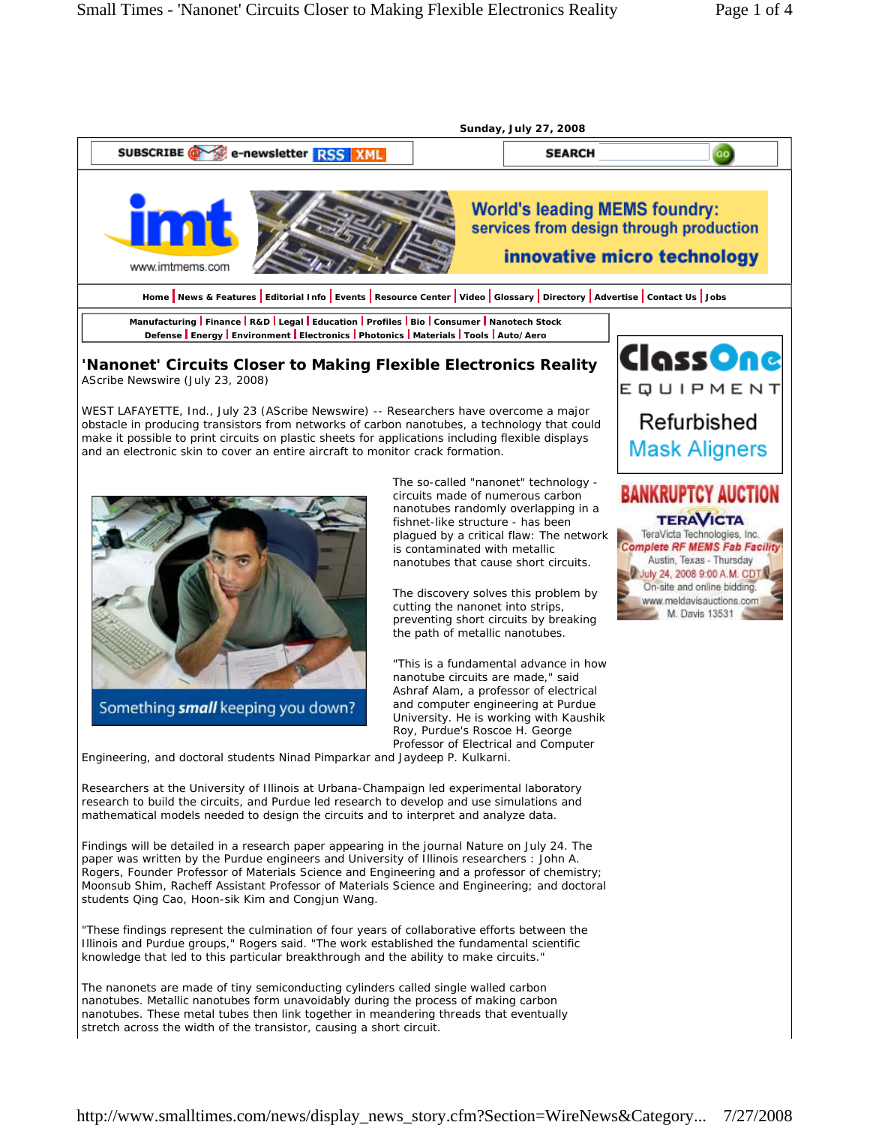

Researchers at the University of Illinois at Urbana-Champaign led experimental laboratory research to build the circuits, and Purdue led research to develop and use simulations and mathematical models needed to design the circuits and to interpret and analyze data.

Findings will be detailed in a research paper appearing in the journal Nature on July 24. The paper was written by the Purdue engineers and University of Illinois researchers : John A. Rogers, Founder Professor of Materials Science and Engineering and a professor of chemistry; Moonsub Shim, Racheff Assistant Professor of Materials Science and Engineering; and doctoral students Qing Cao, Hoon-sik Kim and Congjun Wang.

"These findings represent the culmination of four years of collaborative efforts between the Illinois and Purdue groups," Rogers said. "The work established the fundamental scientific knowledge that led to this particular breakthrough and the ability to make circuits."

The nanonets are made of tiny semiconducting cylinders called single walled carbon nanotubes. Metallic nanotubes form unavoidably during the process of making carbon nanotubes. These metal tubes then link together in meandering threads that eventually stretch across the width of the transistor, causing a short circuit.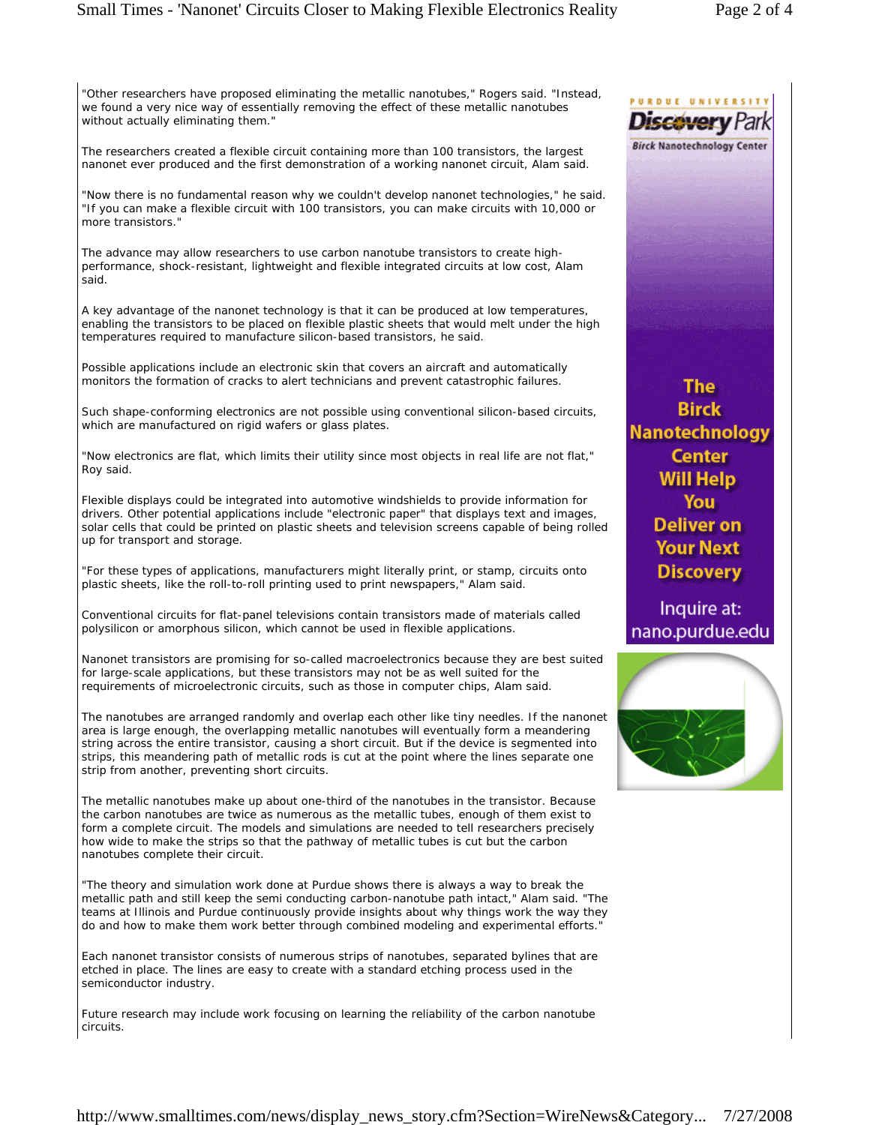## Small Times - 'Nanonet' Circuits Closer to Making Flexible Electronics Reality Page 2 of 4

"Other researchers have proposed eliminating the metallic nanotubes," Rogers said. "Instead, we found a very nice way of essentially removing the effect of these metallic nanotubes without actually eliminating them."

The researchers created a flexible circuit containing more than 100 transistors, the largest nanonet ever produced and the first demonstration of a working nanonet circuit, Alam said.

"Now there is no fundamental reason why we couldn't develop nanonet technologies," he said. "If you can make a flexible circuit with 100 transistors, you can make circuits with 10,000 or more transistors."

The advance may allow researchers to use carbon nanotube transistors to create highperformance, shock-resistant, lightweight and flexible integrated circuits at low cost, Alam said.

A key advantage of the nanonet technology is that it can be produced at low temperatures, enabling the transistors to be placed on flexible plastic sheets that would melt under the high temperatures required to manufacture silicon-based transistors, he said.

Possible applications include an electronic skin that covers an aircraft and automatically monitors the formation of cracks to alert technicians and prevent catastrophic failures.

Such shape-conforming electronics are not possible using conventional silicon-based circuits, which are manufactured on rigid wafers or glass plates.

"Now electronics are flat, which limits their utility since most objects in real life are not flat," Roy said.

Flexible displays could be integrated into automotive windshields to provide information for drivers. Other potential applications include "electronic paper" that displays text and images, solar cells that could be printed on plastic sheets and television screens capable of being rolled up for transport and storage.

"For these types of applications, manufacturers might literally print, or stamp, circuits onto plastic sheets, like the roll-to-roll printing used to print newspapers," Alam said.

Conventional circuits for flat-panel televisions contain transistors made of materials called polysilicon or amorphous silicon, which cannot be used in flexible applications.

Nanonet transistors are promising for so-called macroelectronics because they are best suited for large-scale applications, but these transistors may not be as well suited for the requirements of microelectronic circuits, such as those in computer chips, Alam said.

The nanotubes are arranged randomly and overlap each other like tiny needles. If the nanonet area is large enough, the overlapping metallic nanotubes will eventually form a meandering string across the entire transistor, causing a short circuit. But if the device is segmented into strips, this meandering path of metallic rods is cut at the point where the lines separate one strip from another, preventing short circuits.

The metallic nanotubes make up about one-third of the nanotubes in the transistor. Because the carbon nanotubes are twice as numerous as the metallic tubes, enough of them exist to form a complete circuit. The models and simulations are needed to tell researchers precisely how wide to make the strips so that the pathway of metallic tubes is cut but the carbon nanotubes complete their circuit.

"The theory and simulation work done at Purdue shows there is always a way to break the metallic path and still keep the semi conducting carbon-nanotube path intact," Alam said. "The teams at Illinois and Purdue continuously provide insights about why things work the way they do and how to make them work better through combined modeling and experimental efforts."

Each nanonet transistor consists of numerous strips of nanotubes, separated bylines that are etched in place. The lines are easy to create with a standard etching process used in the semiconductor industry.

Future research may include work focusing on learning the reliability of the carbon nanotube circuits.

**The Birck Nanotechnology Center Will Help** You Deliver on **Your Next Discovery** 

Inquire at: nano.purdue.edu



ROUE UNIVERSIT Discovery **Birck Nanotechnology Center**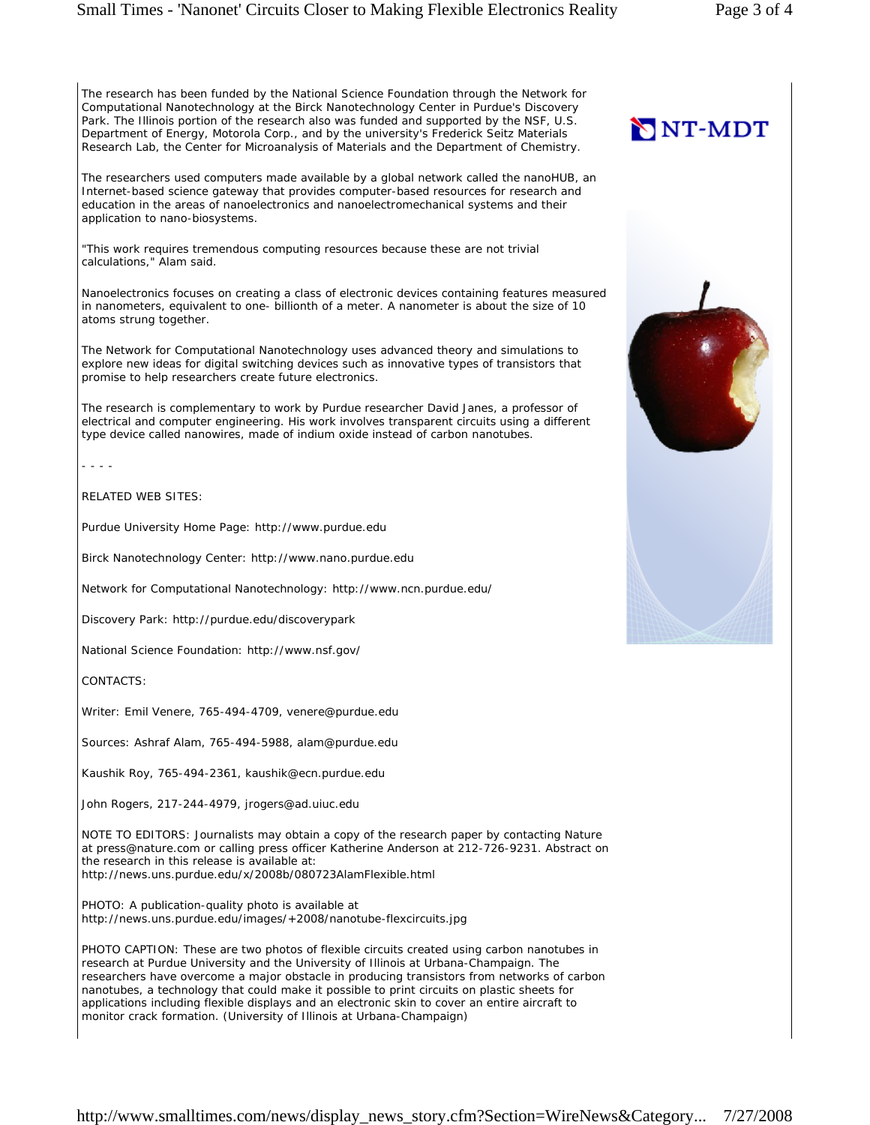## Small Times - 'Nanonet' Circuits Closer to Making Flexible Electronics Reality Page 3 of 4

The research has been funded by the National Science Foundation through the Network for Computational Nanotechnology at the Birck Nanotechnology Center in Purdue's Discovery Park. The Illinois portion of the research also was funded and supported by the NSF, U.S. Department of Energy, Motorola Corp., and by the university's Frederick Seitz Materials Research Lab, the Center for Microanalysis of Materials and the Department of Chemistry.

The researchers used computers made available by a global network called the nanoHUB, an Internet-based science gateway that provides computer-based resources for research and education in the areas of nanoelectronics and nanoelectromechanical systems and their application to nano-biosystems.

"This work requires tremendous computing resources because these are not trivial calculations," Alam said.

Nanoelectronics focuses on creating a class of electronic devices containing features measured in nanometers, equivalent to one- billionth of a meter. A nanometer is about the size of 10 atoms strung together.

The Network for Computational Nanotechnology uses advanced theory and simulations to explore new ideas for digital switching devices such as innovative types of transistors that promise to help researchers create future electronics.

The research is complementary to work by Purdue researcher David Janes, a professor of electrical and computer engineering. His work involves transparent circuits using a different type device called nanowires, made of indium oxide instead of carbon nanotubes.

- - - -

RELATED WEB SITES:

Purdue University Home Page: http://www.purdue.edu

Birck Nanotechnology Center: http://www.nano.purdue.edu

Network for Computational Nanotechnology: http://www.ncn.purdue.edu/

Discovery Park: http://purdue.edu/discoverypark

National Science Foundation: http://www.nsf.gov/

CONTACTS:

Writer: Emil Venere, 765-494-4709, venere@purdue.edu

Sources: Ashraf Alam, 765-494-5988, alam@purdue.edu

Kaushik Roy, 765-494-2361, kaushik@ecn.purdue.edu

John Rogers, 217-244-4979, jrogers@ad.uiuc.edu

NOTE TO EDITORS: Journalists may obtain a copy of the research paper by contacting Nature at press@nature.com or calling press officer Katherine Anderson at 212-726-9231. Abstract on the research in this release is available at: http://news.uns.purdue.edu/x/2008b/080723AlamFlexible.html

PHOTO: A publication-quality photo is available at http://news.uns.purdue.edu/images/+2008/nanotube-flexcircuits.jpg

PHOTO CAPTION: These are two photos of flexible circuits created using carbon nanotubes in research at Purdue University and the University of Illinois at Urbana-Champaign. The researchers have overcome a major obstacle in producing transistors from networks of carbon nanotubes, a technology that could make it possible to print circuits on plastic sheets for applications including flexible displays and an electronic skin to cover an entire aircraft to monitor crack formation. (University of Illinois at Urbana-Champaign)